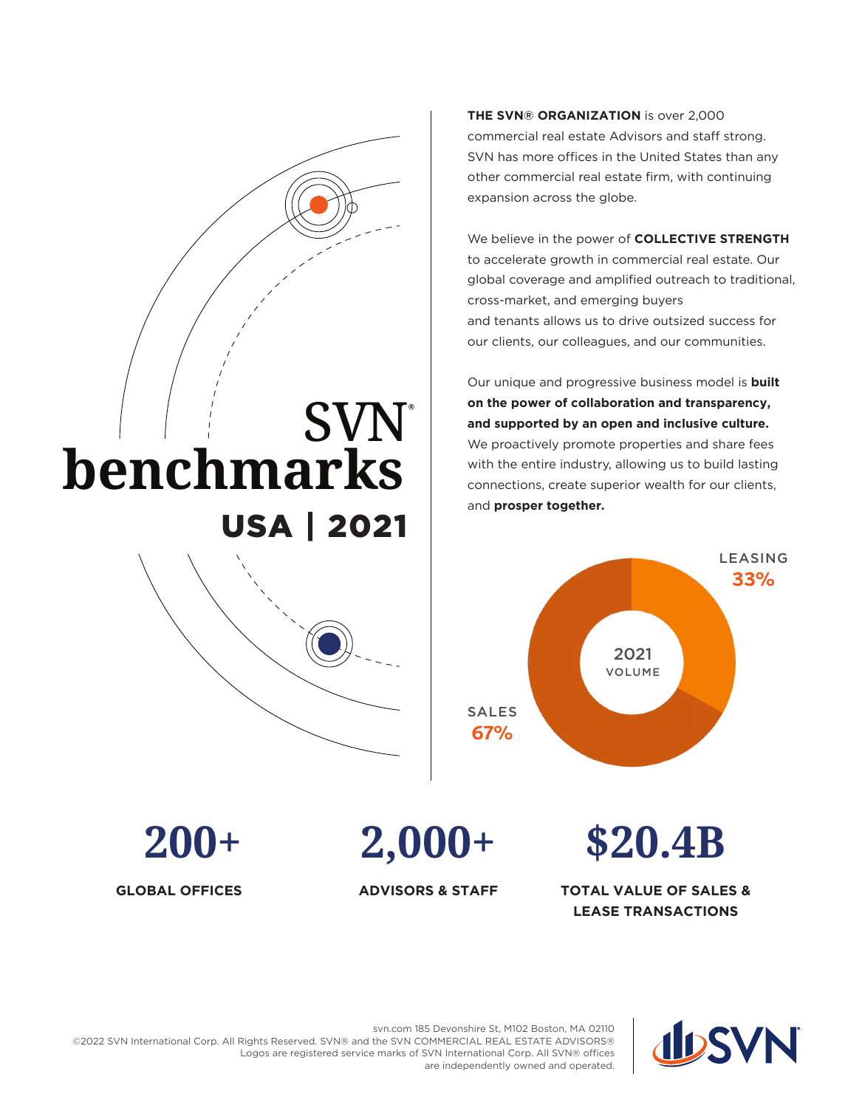## SVN **benchmarks** USA | 2021

**THE SVN® ORGANIZATION** is over 2,000 commercial real estate Advisors and staff strong. SVN has more offices in the United States than any other commercial real estate firm, with continuing expansion across the globe.

We believe in the power of **COLLECTIVE STRENGTH**  to accelerate growth in commercial real estate. Our global coverage and amplified outreach to traditional, cross-market, and emerging buyers and tenants allows us to drive outsized success for our clients, our colleagues, and our communities.

Our unique and progressive business model is **built on the power of collaboration and transparency, and supported by an open and inclusive culture.**  We proactively promote properties and share fees with the entire industry, allowing us to build lasting connections, create superior wealth for our clients, and **prosper together.**



**200+ 2,000+ \$20.4B**

**GLOBAL OFFICES ADVISORS & STAFF TOTAL VALUE OF SALES & LEASE TRANSACTIONS**



svn.com 185 Devonshire St, M102 Boston, MA 02110 ©2022 SVN International Corp. All Rights Reserved. SVN® and the SVN COMMERCIAL REAL ESTATE ADVISORS® Logos are registered service marks of SVN International Corp. All SVN® offices are independently owned and operated.